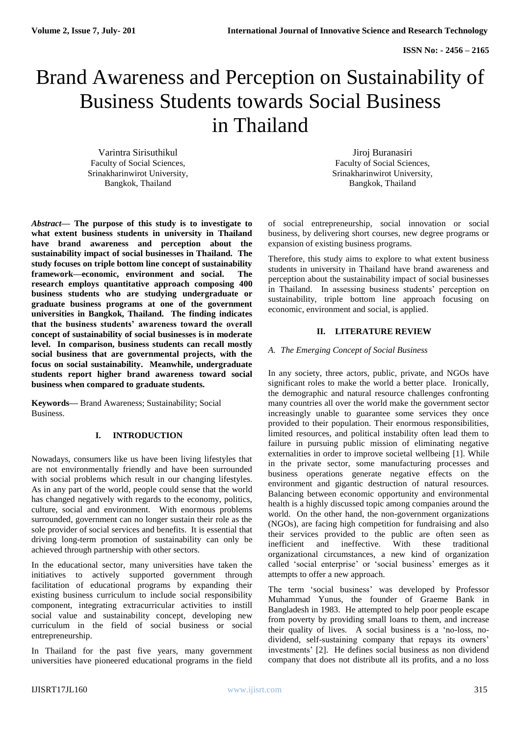# Brand Awareness and Perception on Sustainability of Business Students towards Social Business in Thailand

Varintra Sirisuthikul Faculty of Social Sciences, Srinakharinwirot University, Bangkok, Thailand

*Abstract***— The purpose of this study is to investigate to what extent business students in university in Thailand have brand awareness and perception about the sustainability impact of social businesses in Thailand. The study focuses on triple bottom line concept of sustainability framework—economic, environment and social. The research employs quantitative approach composing 400 business students who are studying undergraduate or graduate business programs at one of the government universities in Bangkok, Thailand. The finding indicates that the business students' awareness toward the overall concept of sustainability of social businesses is in moderate level. In comparison, business students can recall mostly social business that are governmental projects, with the focus on social sustainability. Meanwhile, undergraduate students report higher brand awareness toward social business when compared to graduate students.**

**Keywords***—* Brand Awareness; Sustainability; Social Business.

## **I. INTRODUCTION**

Nowadays, consumers like us have been living lifestyles that are not environmentally friendly and have been surrounded with social problems which result in our changing lifestyles. As in any part of the world, people could sense that the world has changed negatively with regards to the economy, politics, culture, social and environment. With enormous problems surrounded, government can no longer sustain their role as the sole provider of social services and benefits. It is essential that driving long-term promotion of sustainability can only be achieved through partnership with other sectors.

In the educational sector, many universities have taken the initiatives to actively supported government through facilitation of educational programs by expanding their existing business curriculum to include social responsibility component, integrating extracurricular activities to instill social value and sustainability concept, developing new curriculum in the field of social business or social entrepreneurship.

In Thailand for the past five years, many government universities have pioneered educational programs in the field

Jiroj Buranasiri Faculty of Social Sciences, Srinakharinwirot University, Bangkok, Thailand

of social entrepreneurship, social innovation or social business, by delivering short courses, new degree programs or expansion of existing business programs.

Therefore, this study aims to explore to what extent business students in university in Thailand have brand awareness and perception about the sustainability impact of social businesses in Thailand. In assessing business students' perception on sustainability, triple bottom line approach focusing on economic, environment and social, is applied.

## **II. LITERATURE REVIEW**

## *A. The Emerging Concept of Social Business*

In any society, three actors, public, private, and NGOs have significant roles to make the world a better place. Ironically, the demographic and natural resource challenges confronting many countries all over the world make the government sector increasingly unable to guarantee some services they once provided to their population. Their enormous responsibilities, limited resources, and political instability often lead them to failure in pursuing public mission of eliminating negative externalities in order to improve societal wellbeing [1]. While in the private sector, some manufacturing processes and business operations generate negative effects on the environment and gigantic destruction of natural resources. Balancing between economic opportunity and environmental health is a highly discussed topic among companies around the world. On the other hand, the non-government organizations (NGOs), are facing high competition for fundraising and also their services provided to the public are often seen as inefficient and ineffective. With these traditional organizational circumstances, a new kind of organization called 'social enterprise' or 'social business' emerges as it attempts to offer a new approach.

The term 'social business' was developed by Professor Muhammad Yunus, the founder of Graeme Bank in Bangladesh in 1983. He attempted to help poor people escape from poverty by providing small loans to them, and increase their quality of lives. A social business is a 'no-loss, nodividend, self-sustaining company that repays its owners' investments' [2]. He defines social business as non dividend company that does not distribute all its profits, and a no loss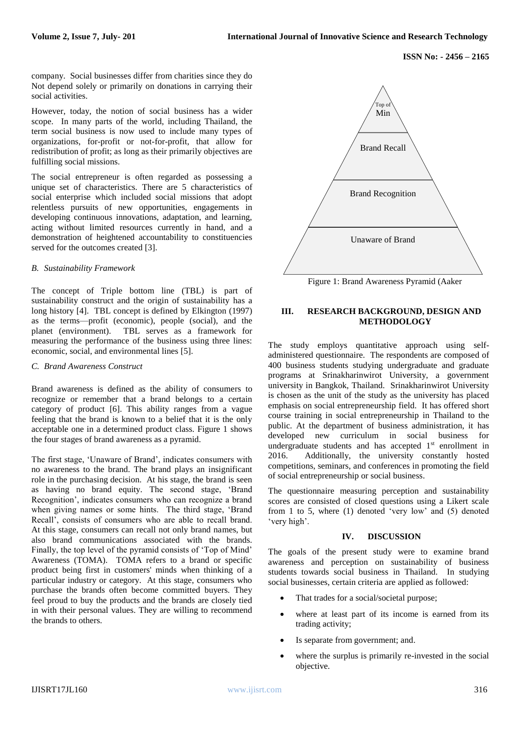company. Social businesses differ from charities since they do Not depend solely or primarily on donations in carrying their social activities.

However, today, the notion of social business has a wider scope. In many parts of the world, including Thailand, the term social business is now used to include many types of organizations, for-profit or not-for-profit, that allow for redistribution of profit; as long as their primarily objectives are fulfilling social missions.

The social entrepreneur is often regarded as possessing a unique set of characteristics. There are 5 characteristics of social enterprise which included social missions that adopt relentless pursuits of new opportunities, engagements in developing continuous innovations, adaptation, and learning, acting without limited resources currently in hand, and a demonstration of heightened accountability to constituencies served for the outcomes created [3].

#### *B. Sustainability Framework*

The concept of Triple bottom line (TBL) is part of sustainability construct and the origin of sustainability has a long history [4]. TBL concept is defined by Elkington (1997) as the terms—profit (economic), people (social), and the planet (environment). TBL serves as a framework for measuring the performance of the business using three lines: economic, social, and environmental lines [5].

#### *C. Brand Awareness Construct*

Brand awareness is defined as the ability of consumers to recognize or remember that a brand belongs to a certain category of product [6]. This ability ranges from a vague feeling that the brand is known to a belief that it is the only acceptable one in a determined product class. Figure 1 shows the four stages of brand awareness as a pyramid.

The first stage, 'Unaware of Brand', indicates consumers with no awareness to the brand. The brand plays an insignificant role in the purchasing decision. At his stage, the brand is seen as having no brand equity. The second stage, 'Brand Recognition', indicates consumers who can recognize a brand when giving names or some hints. The third stage, 'Brand Recall', consists of consumers who are able to recall brand. At this stage, consumers can recall not only brand names, but also brand communications associated with the brands. Finally, the top level of the pyramid consists of 'Top of Mind' Awareness (TOMA). TOMA refers to a brand or specific product being first in customers' minds when thinking of a particular industry or category. At this stage, consumers who purchase the brands often become committed buyers. They feel proud to buy the products and the brands are closely tied in with their personal values. They are willing to recommend the brands to others.



Figure 1: Brand Awareness Pyramid (Aaker

#### **III. RESEARCH BACKGROUND, DESIGN AND METHODOLOGY**

The study employs quantitative approach using selfadministered questionnaire. The respondents are composed of 400 business students studying undergraduate and graduate programs at Srinakharinwirot University, a government university in Bangkok, Thailand. Srinakharinwirot University is chosen as the unit of the study as the university has placed emphasis on social entrepreneurship field. It has offered short course training in social entrepreneurship in Thailand to the public. At the department of business administration, it has developed new curriculum in social business for undergraduate students and has accepted  $1<sup>st</sup>$  enrollment in 2016. Additionally, the university constantly hosted competitions, seminars, and conferences in promoting the field of social entrepreneurship or social business.

The questionnaire measuring perception and sustainability scores are consisted of closed questions using a Likert scale from 1 to 5, where (1) denoted 'very low' and (5) denoted 'very high'.

#### **IV. DISCUSSION**

The goals of the present study were to examine brand awareness and perception on sustainability of business students towards social business in Thailand. In studying social businesses, certain criteria are applied as followed:

- That trades for a social/societal purpose;
- where at least part of its income is earned from its trading activity;
- Is separate from government; and.
- where the surplus is primarily re-invested in the social objective.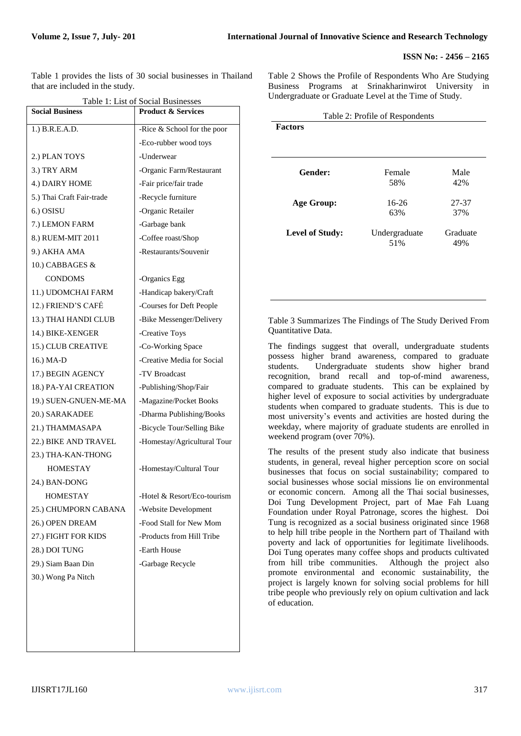#### **ISSN No: - 2456 – 2165**

Table 1 provides the lists of 30 social businesses in Thailand that are included in the study.

| <b>Social Business</b><br><b>Product &amp; Services</b> |                             |  |
|---------------------------------------------------------|-----------------------------|--|
| 1.) B.R.E.A.D.                                          | -Rice & School for the poor |  |
|                                                         | -Eco-rubber wood toys       |  |
| 2.) PLAN TOYS                                           | -Underwear                  |  |
| 3.) TRY ARM                                             | -Organic Farm/Restaurant    |  |
| 4.) DAIRY HOME                                          | -Fair price/fair trade      |  |
| 5.) Thai Craft Fair-trade                               | -Recycle furniture          |  |
| 6.) OSISU                                               | -Organic Retailer           |  |
| 7.) LEMON FARM                                          | -Garbage bank               |  |
| 8.) RUEM-MIT 2011                                       | -Coffee roast/Shop          |  |
| 9.) AKHA AMA                                            | -Restaurants/Souvenir       |  |
| 10.) CABBAGES &                                         |                             |  |
| <b>CONDOMS</b>                                          | -Organics Egg               |  |
| 11.) UDOMCHAI FARM                                      | -Handicap bakery/Craft      |  |
| 12.) FRIEND'S CAFÉ                                      | -Courses for Deft People    |  |
| 13.) THAI HANDI CLUB                                    | -Bike Messenger/Delivery    |  |
| 14.) BIKE-XENGER                                        | -Creative Toys              |  |
| 15.) CLUB CREATIVE                                      | -Co-Working Space           |  |
| 16.) MA-D                                               | -Creative Media for Social  |  |
| 17.) BEGIN AGENCY                                       | -TV Broadcast               |  |
| 18.) PA-YAI CREATION                                    | -Publishing/Shop/Fair       |  |
| 19.) SUEN-GNUEN-ME-MA                                   | -Magazine/Pocket Books      |  |
| 20.) SARAKADEE                                          | -Dharma Publishing/Books    |  |
| 21.) THAMMASAPA                                         | -Bicycle Tour/Selling Bike  |  |
| 22.) BIKE AND TRAVEL                                    | -Homestay/Agricultural Tour |  |
| 23.) THA-KAN-THONG                                      |                             |  |
| <b>HOMESTAY</b>                                         | -Homestay/Cultural Tour     |  |
| 24.) BAN-DONG                                           |                             |  |
| HOMESTAY                                                | Hotel & Resort/Eco-tourism  |  |
| 25.) CHUMPORN CABANA                                    | -Website Development        |  |
| 26.) OPEN DREAM                                         | -Food Stall for New Mom     |  |
| 27.) FIGHT FOR KIDS                                     | -Products from Hill Tribe   |  |
| 28.) DOI TUNG                                           | -Earth House                |  |
|                                                         |                             |  |
| 29.) Siam Baan Din                                      | -Garbage Recycle            |  |

Table 2 Shows the Profile of Respondents Who Are Studying Business Programs at Srinakharinwirot University in Undergraduate or Graduate Level at the Time of Study.

| Table 2: Profile of Respondents |               |          |
|---------------------------------|---------------|----------|
| <b>Factors</b>                  |               |          |
|                                 |               |          |
|                                 |               |          |
| <b>Gender:</b>                  | Female        | Male     |
|                                 | 58%           | 42%      |
| Age Group:                      | $16-26$       | 27-37    |
|                                 | 63%           | 37%      |
| <b>Level of Study:</b>          | Undergraduate | Graduate |
|                                 | 51%           | 49%      |
|                                 |               |          |
|                                 |               |          |

Table 3 Summarizes The Findings of The Study Derived From Quantitative Data.

The findings suggest that overall, undergraduate students possess higher brand awareness, compared to graduate students. Undergraduate students show higher brand recognition, brand recall and top-of-mind awareness, compared to graduate students. This can be explained by higher level of exposure to social activities by undergraduate students when compared to graduate students. This is due to most university's events and activities are hosted during the weekday, where majority of graduate students are enrolled in weekend program (over 70%).

The results of the present study also indicate that business students, in general, reveal higher perception score on social businesses that focus on social sustainability; compared to social businesses whose social missions lie on environmental or economic concern. Among all the Thai social businesses, Doi Tung Development Project, part of Mae Fah Luang Foundation under Royal Patronage, scores the highest. Doi Tung is recognized as a social business originated since 1968 to help hill tribe people in the Northern part of Thailand with poverty and lack of opportunities for legitimate livelihoods. Doi Tung operates many coffee shops and products cultivated from hill tribe communities. Although the project also promote environmental and economic sustainability, the project is largely known for solving social problems for hill tribe people who previously rely on opium cultivation and lack of education.